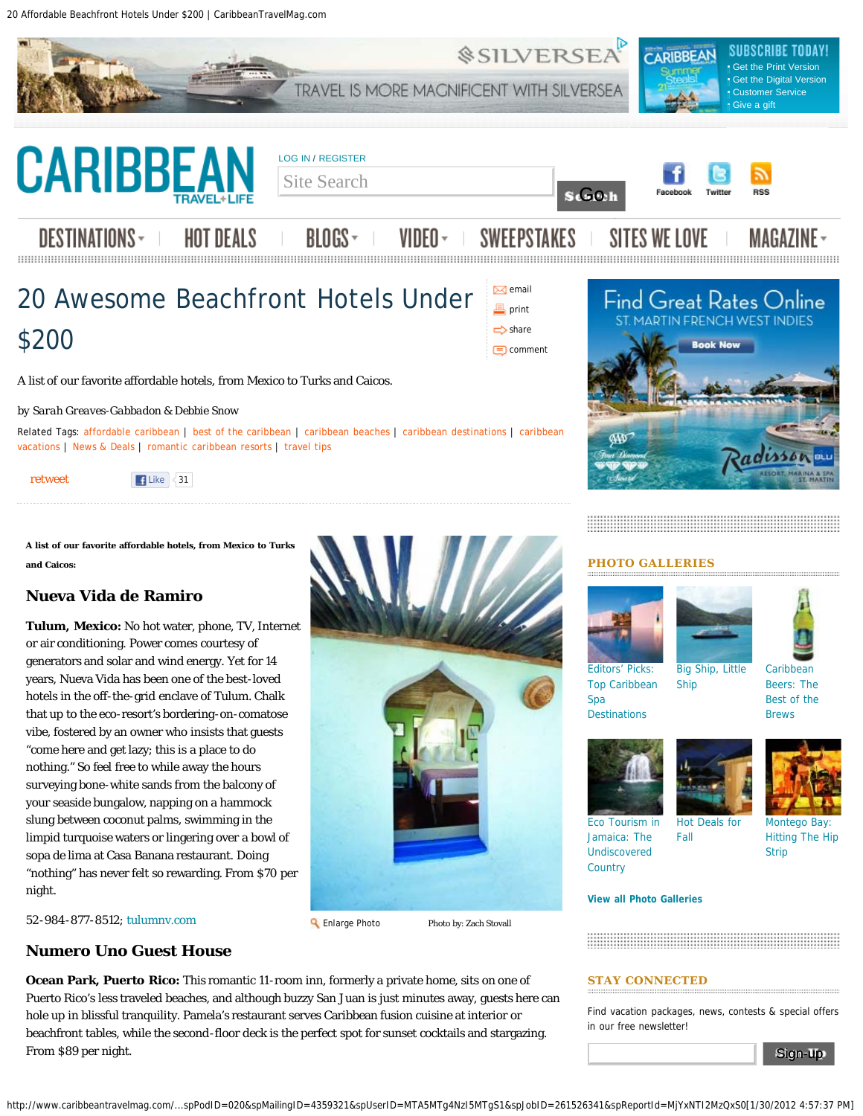20 Affordable Beachfront Hotels Under \$200 | CaribbeanTravelMag.com



A list of our favorite affordable hotels, from Mexico to Turks and Caicos.

#### *by Sarah Greaves-Gabbadon & Debbie Snow*

Related Tags: [affordable caribbean](http://www.caribbeantravelmag.com/tag/affordable-caribbean) | [best of the caribbean](http://www.caribbeantravelmag.com/tag/best-caribbean) | [caribbean beaches](http://www.caribbeantravelmag.com/tag/caribbean-beaches) | [caribbean destinations](http://www.caribbeantravelmag.com/tag/caribbean-destinations) | [caribbean](http://www.caribbeantravelmag.com/tag/caribbean-vacations-0) [vacations](http://www.caribbeantravelmag.com/tag/caribbean-vacations-0) | [News & Deals](http://www.caribbeantravelmag.com/tag/blogs/news-deals) | [romantic caribbean resorts](http://www.caribbeantravelmag.com/tag/romantic-caribbean-resorts) | [travel tips](http://www.caribbeantravelmag.com/tag/travel-tips)

[retweet](http://twitter.com/share)

**A list of our favorite affordable hotels, from Mexico to Turks and Caicos:**

 $\vert$  Like  $\vert$  31

# **Nueva Vida de Ramiro**

**Tulum, Mexico:** No hot water, phone, TV, Internet or air conditioning. Power comes courtesy of generators and solar and wind energy. Yet for 14 years, Nueva Vida has been one of the best-loved hotels in the off-the-grid enclave of Tulum. Chalk that up to the eco-resort's bordering-on-comatose vibe, fostered by an owner who insists that guests "come here and get lazy; this is a place to do nothing." So feel free to while away the hours surveying bone-white sands from the balcony of your seaside bungalow, napping on a hammock slung between coconut palms, swimming in the limpid turquoise waters or lingering over a bowl of sopa de lima at Casa Banana restaurant. Doing "nothing" has never felt so rewarding. From \$70 per night.

*52-984-877-8512;* [tulumnv.com](http://www.tulumnv.com/)

#### **R** [Enlarge Photo](http://www.caribbeantravelmag.com/files/imagecache/enlarged_image/_images/201201/ctl0212_bh01.jpg) **Photo Branch** Photo by: Zach Stovall

**Numero Uno Guest House**

**Ocean Park, Puerto Rico:** This romantic 11-room inn, formerly a private home, sits on one of Puerto Rico's less traveled beaches, and although buzzy San Juan is just minutes away, guests here can hole up in blissful tranquility. Pamela's restaurant serves Caribbean fusion cuisine at interior or beachfront tables, while the second-floor deck is the perfect spot for sunset cocktails and stargazing. From \$89 per night.

#### **PHOTO GALLERIES**







[Editors' Picks:](http://www.caribbeantravelmag.com/gallery/editors-picks-top-caribbean-spa-destinations) [Top Caribbean](http://www.caribbeantravelmag.com/gallery/editors-picks-top-caribbean-spa-destinations) [Spa](http://www.caribbeantravelmag.com/gallery/editors-picks-top-caribbean-spa-destinations) **[Destinations](http://www.caribbeantravelmag.com/gallery/editors-picks-top-caribbean-spa-destinations)** 

[Big Ship, Little](http://www.caribbeantravelmag.com/gallery/big-ship-little-ship) [Ship](http://www.caribbeantravelmag.com/gallery/big-ship-little-ship)

**[Caribbean](http://www.caribbeantravelmag.com/gallery/best-caribbean-beer)** [Beers: The](http://www.caribbeantravelmag.com/gallery/best-caribbean-beer) [Best of the](http://www.caribbeantravelmag.com/gallery/best-caribbean-beer)

[Brews](http://www.caribbeantravelmag.com/gallery/best-caribbean-beer)

[Eco Tourism in](http://www.caribbeantravelmag.com/gallery/eco-tourism-jamaica-photos) [Jamaica: The](http://www.caribbeantravelmag.com/gallery/eco-tourism-jamaica-photos) [Undiscovered](http://www.caribbeantravelmag.com/gallery/eco-tourism-jamaica-photos) **[Country](http://www.caribbeantravelmag.com/gallery/eco-tourism-jamaica-photos)** 

[Hot Deals for](http://www.caribbeantravelmag.com/gallery/hot-caribbean-travel-deals-fall) [Fall](http://www.caribbeantravelmag.com/gallery/hot-caribbean-travel-deals-fall)

[Montego Bay:](http://www.caribbeantravelmag.com/gallery/montego-bay-hitting-hip-strip) [Hitting The Hip](http://www.caribbeantravelmag.com/gallery/montego-bay-hitting-hip-strip) [Strip](http://www.caribbeantravelmag.com/gallery/montego-bay-hitting-hip-strip)

#### **[View all Photo Galleries](http://www.caribbeantravelmag.com/galleries)**

#### **STAY CONNECTED**

Find vacation packages, news, contests & special offers in our free newsletter!

Sign-up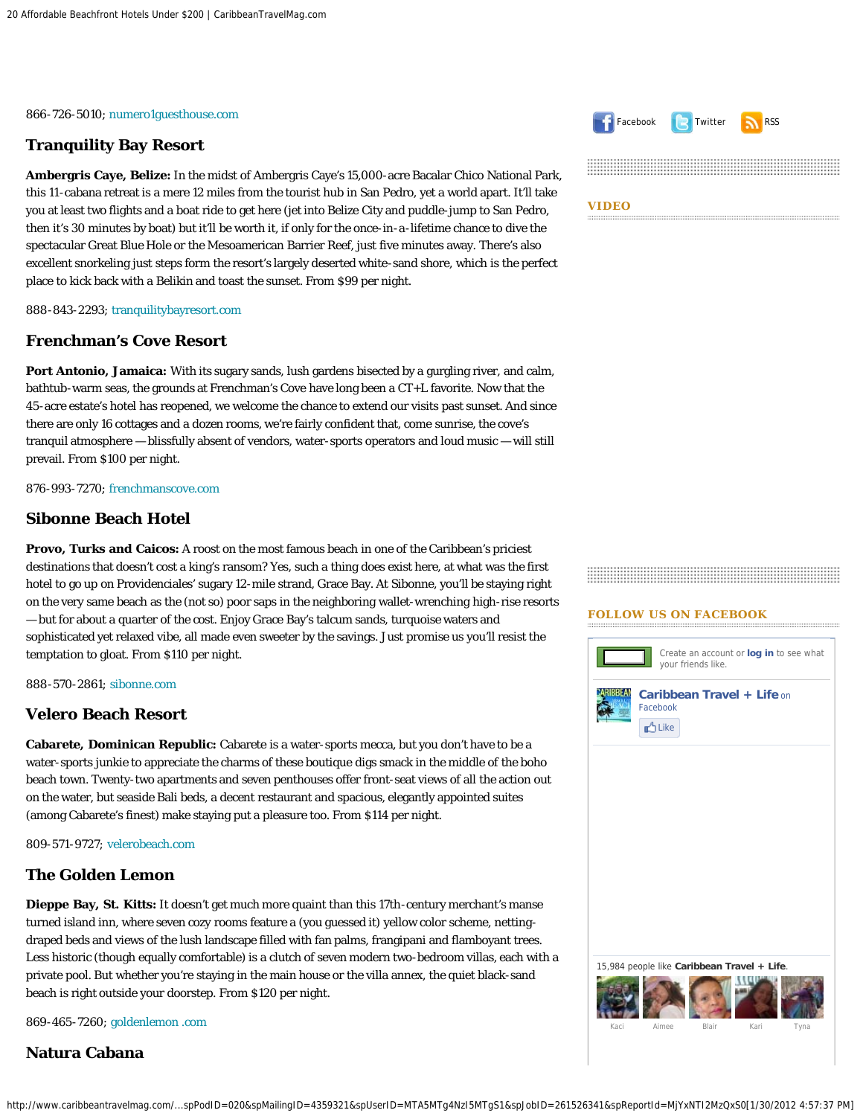*866-726-5010;* [numero1guesthouse.com](http://www.numero1guesthouse.com/)

# **Tranquility Bay Resort**

**Ambergris Caye, Belize:** In the midst of Ambergris Caye's 15,000-acre Bacalar Chico National Park, this 11-cabana retreat is a mere 12 miles from the tourist hub in San Pedro, yet a world apart. It'll take you at least two flights and a boat ride to get here (jet into Belize City and puddle-jump to San Pedro, then it's 30 minutes by boat) but it'll be worth it, if only for the once-in-a-lifetime chance to dive the spectacular Great Blue Hole or the Mesoamerican Barrier Reef, just five minutes away. There's also excellent snorkeling just steps form the resort's largely deserted white-sand shore, which is the perfect place to kick back with a Belikin and toast the sunset. From \$99 per night.

*888-843-2293;* [tranquilitybayresort.com](http://www.tranquilitybayresort.com/)

#### **Frenchman's Cove Resort**

**Port Antonio, Jamaica:** With its sugary sands, lush gardens bisected by a gurgling river, and calm, bathtub-warm seas, the grounds at Frenchman's Cove have long been a CT+L favorite. Now that the 45-acre estate's hotel has reopened, we welcome the chance to extend our visits past sunset. And since there are only 16 cottages and a dozen rooms, we're fairly confident that, come sunrise, the cove's tranquil atmosphere — blissfully absent of vendors, water-sports operators and loud music — will still prevail. From \$100 per night.

*876-993-7270;* [frenchmanscove.com](http://www.frenchmanscover.com/)

# **Sibonne Beach Hotel**

**Provo, Turks and Caicos:** A roost on the most famous beach in one of the Caribbean's priciest destinations that doesn't cost a king's ransom? Yes, such a thing does exist here, at what was the first hotel to go up on Providenciales' sugary 12-mile strand, Grace Bay. At Sibonne, you'll be staying right on the very same beach as the (not so) poor saps in the neighboring wallet-wrenching high-rise resorts — but for about a quarter of the cost. Enjoy Grace Bay's talcum sands, turquoise waters and sophisticated yet relaxed vibe, all made even sweeter by the savings. Just promise us you'll resist the temptation to gloat. From \$110 per night.

*888-570-2861;* [sibonne.com](http://www.sibonne.com/)

#### **Velero Beach Resort**

**Cabarete, Dominican Republic:** Cabarete is a water-sports mecca, but you don't have to be a water-sports junkie to appreciate the charms of these boutique digs smack in the middle of the boho beach town. Twenty-two apartments and seven penthouses offer front-seat views of all the action out on the water, but seaside Bali beds, a decent restaurant and spacious, elegantly appointed suites (among Cabarete's finest) make staying put a pleasure too. From \$114 per night.

*809-571-9727;* [velerobeach.com](http://www.velerobeach.com/)

#### **The Golden Lemon**

**Dieppe Bay, St. Kitts:** It doesn't get much more quaint than this 17th-century merchant's manse turned island inn, where seven cozy rooms feature a (you guessed it) yellow color scheme, nettingdraped beds and views of the lush landscape filled with fan palms, frangipani and flamboyant trees. Less historic (though equally comfortable) is a clutch of seven modern two-bedroom villas, each with a private pool. But whether you're staying in the main house or the villa annex, the quiet black-sand beach is right outside your doorstep. From \$120 per night.

*869-465-7260;* [goldenlemon .com](http://www.goldenlemon%e2%80%8b.com/)

## **Natura Cabana**





#### **FOLLOW US ON FACEBOOK**

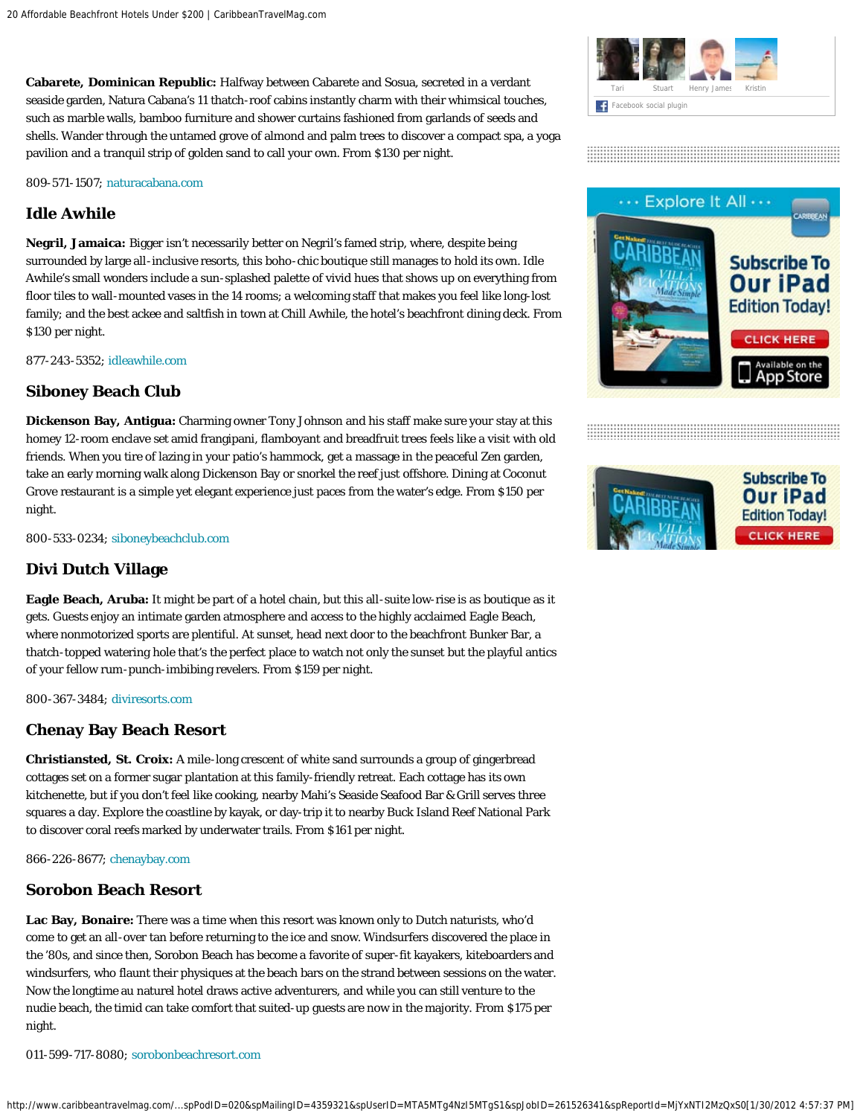**Cabarete, Dominican Republic:** Halfway between Cabarete and Sosua, secreted in a verdant seaside garden, Natura Cabana's 11 thatch-roof cabins instantly charm with their whimsical touches, such as marble walls, bamboo furniture and shower curtains fashioned from garlands of seeds and shells. Wander through the untamed grove of almond and palm trees to discover a compact spa, a yoga pavilion and a tranquil strip of golden sand to call your own. From \$130 per night.

*809-571-1507;* [naturacabana.com](http://www.naturacabana.com/)

# **Idle Awhile**

**Negril, Jamaica:** Bigger isn't necessarily better on Negril's famed strip, where, despite being surrounded by large all-inclusive resorts, this boho-chic boutique still manages to hold its own. Idle Awhile's small wonders include a sun-splashed palette of vivid hues that shows up on everything from floor tiles to wall-mounted vases in the 14 rooms; a welcoming staff that makes you feel like long-lost family; and the best ackee and saltfish in town at Chill Awhile, the hotel's beachfront dining deck. From \$130 per night.

*877-243-5352;* [idleawhile.com](http://www.caribbeantravelmag.com/articles/http//www.idleawhile.com)

## **Siboney Beach Club**

**Dickenson Bay, Antigua:** Charming owner Tony Johnson and his staff make sure your stay at this homey 12-room enclave set amid frangipani, flamboyant and breadfruit trees feels like a visit with old friends. When you tire of lazing in your patio's hammock, get a massage in the peaceful Zen garden, take an early morning walk along Dickenson Bay or snorkel the reef just offshore. Dining at Coconut Grove restaurant is a simple yet elegant experience just paces from the water's edge. From \$150 per night.

*800-533-0234;* [siboneybeachclub.com](http://www.siboneybeachclub.com/)

# **Divi Dutch Village**

**Eagle Beach, Aruba:** It might be part of a hotel chain, but this all-suite low-rise is as boutique as it gets. Guests enjoy an intimate garden atmosphere and access to the highly acclaimed Eagle Beach, where nonmotorized sports are plentiful. At sunset, head next door to the beachfront Bunker Bar, a thatch-topped watering hole that's the perfect place to watch not only the sunset but the playful antics of your fellow rum-punch-imbibing revelers. From \$159 per night.

*800-367-3484;* [diviresorts.com](http://www.diviresorts.com/)

## **Chenay Bay Beach Resort**

**Christiansted, St. Croix:** A mile-long crescent of white sand surrounds a group of gingerbread cottages set on a former sugar plantation at this family-friendly retreat. Each cottage has its own kitchenette, but if you don't feel like cooking, nearby Mahi's Seaside Seafood Bar & Grill serves three squares a day. Explore the coastline by kayak, or day-trip it to nearby Buck Island Reef National Park to discover coral reefs marked by underwater trails. From \$161 per night.

*866-226-8677;* [chenaybay.com](http://www.chenaybay.com/)

#### **Sorobon Beach Resort**

**Lac Bay, Bonaire:** There was a time when this resort was known only to Dutch naturists, who'd come to get an all-over tan before returning to the ice and snow. Windsurfers discovered the place in the '80s, and since then, Sorobon Beach has become a favorite of super-fit kayakers, kiteboarders and windsurfers, who flaunt their physiques at the beach bars on the strand between sessions on the water. Now the longtime au naturel hotel draws active adventurers, and while you can still venture to the nudie beach, the timid can take comfort that suited-up guests are now in the majority. From \$175 per night.

*011-599-717-8080;* [sorobonbeachresort.com](http://www.sorobonbeachresort.com/)